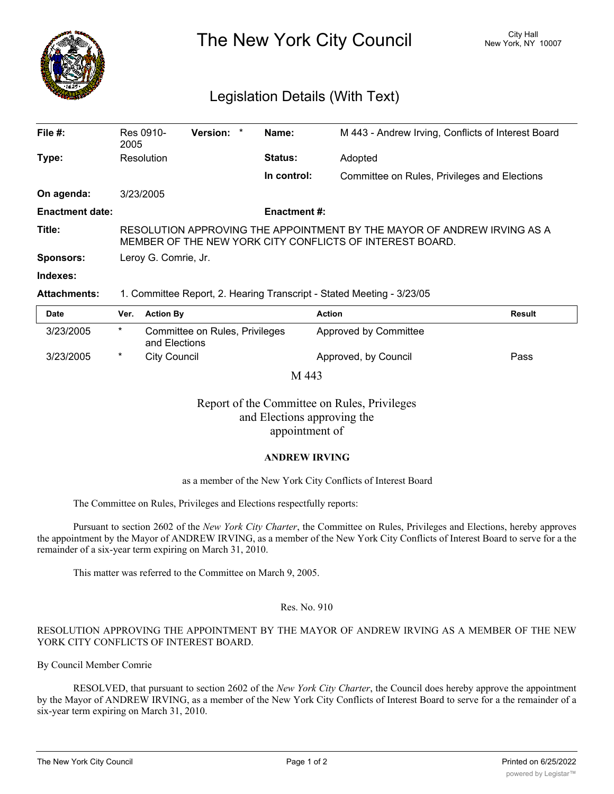

The New York City Council New York, NY 10007

# Legislation Details (With Text)

| File #:                | Res 0910-<br>2005                                                                                                                   | Version: * |  | Name:       | M 443 - Andrew Irving, Conflicts of Interest Board |  |  |
|------------------------|-------------------------------------------------------------------------------------------------------------------------------------|------------|--|-------------|----------------------------------------------------|--|--|
| Type:                  | Resolution                                                                                                                          |            |  | Status:     | Adopted                                            |  |  |
|                        |                                                                                                                                     |            |  | In control: | Committee on Rules, Privileges and Elections       |  |  |
| On agenda:             | 3/23/2005                                                                                                                           |            |  |             |                                                    |  |  |
| <b>Enactment date:</b> | <b>Enactment #:</b>                                                                                                                 |            |  |             |                                                    |  |  |
| Title:                 | RESOLUTION APPROVING THE APPOINTMENT BY THE MAYOR OF ANDREW IRVING AS A<br>MEMBER OF THE NEW YORK CITY CONFLICTS OF INTEREST BOARD. |            |  |             |                                                    |  |  |
| <b>Sponsors:</b>       | Leroy G. Comrie, Jr.                                                                                                                |            |  |             |                                                    |  |  |
| Indexes:               |                                                                                                                                     |            |  |             |                                                    |  |  |

## **Attachments:** 1. Committee Report, 2. Hearing Transcript - Stated Meeting - 3/23/05

| Date      | Ver.   | <b>Action By</b>                                | <b>Action</b>         | <b>Result</b> |  |  |  |  |  |
|-----------|--------|-------------------------------------------------|-----------------------|---------------|--|--|--|--|--|
| 3/23/2005 | $\ast$ | Committee on Rules, Privileges<br>and Elections | Approved by Committee |               |  |  |  |  |  |
| 3/23/2005 | $\ast$ | City Council                                    | Approved, by Council  | Pass          |  |  |  |  |  |
| M 443     |        |                                                 |                       |               |  |  |  |  |  |

Report of the Committee on Rules, Privileges and Elections approving the appointment of

## **ANDREW IRVING**

#### as a member of the New York City Conflicts of Interest Board

The Committee on Rules, Privileges and Elections respectfully reports:

Pursuant to section 2602 of the *New York City Charter*, the Committee on Rules, Privileges and Elections, hereby approves the appointment by the Mayor of ANDREW IRVING, as a member of the New York City Conflicts of Interest Board to serve for a the remainder of a six-year term expiring on March 31, 2010.

This matter was referred to the Committee on March 9, 2005.

#### Res. No. 910

## RESOLUTION APPROVING THE APPOINTMENT BY THE MAYOR OF ANDREW IRVING AS A MEMBER OF THE NEW YORK CITY CONFLICTS OF INTEREST BOARD.

By Council Member Comrie

RESOLVED, that pursuant to section 2602 of the *New York City Charter*, the Council does hereby approve the appointment by the Mayor of ANDREW IRVING, as a member of the New York City Conflicts of Interest Board to serve for a the remainder of a six-year term expiring on March 31, 2010.